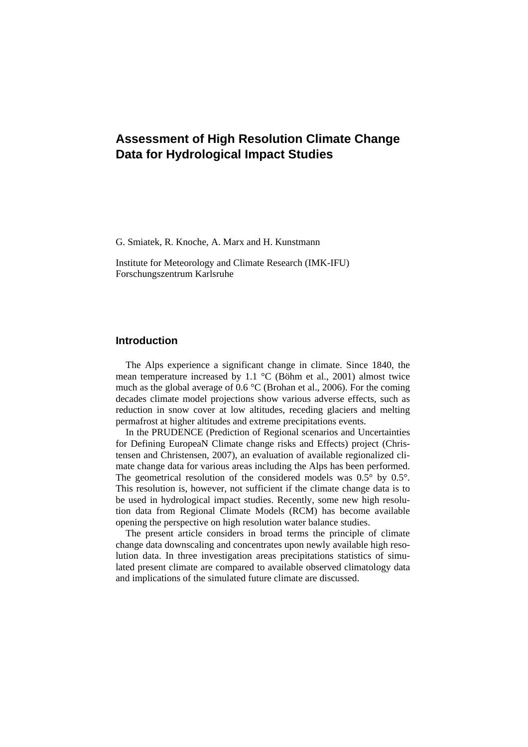# **Assessment of High Resolution Climate Change Data for Hydrological Impact Studies**

G. Smiatek, R. Knoche, A. Marx and H. Kunstmann

Institute for Meteorology and Climate Research (IMK-IFU) Forschungszentrum Karlsruhe

# **Introduction**

The Alps experience a significant change in climate. Since 1840, the mean temperature increased by 1.1 °C (Böhm et al., 2001) almost twice much as the global average of 0.6 °C (Brohan et al., 2006). For the coming decades climate model projections show various adverse effects, such as reduction in snow cover at low altitudes, receding glaciers and melting permafrost at higher altitudes and extreme precipitations events.

In the PRUDENCE (Prediction of Regional scenarios and Uncertainties for Defining EuropeaN Climate change risks and Effects) project (Christensen and Christensen, 2007), an evaluation of available regionalized climate change data for various areas including the Alps has been performed. The geometrical resolution of the considered models was  $0.5^{\circ}$  by  $0.5^{\circ}$ . This resolution is, however, not sufficient if the climate change data is to be used in hydrological impact studies. Recently, some new high resolution data from Regional Climate Models (RCM) has become available opening the perspective on high resolution water balance studies.

The present article considers in broad terms the principle of climate change data downscaling and concentrates upon newly available high resolution data. In three investigation areas precipitations statistics of simulated present climate are compared to available observed climatology data and implications of the simulated future climate are discussed.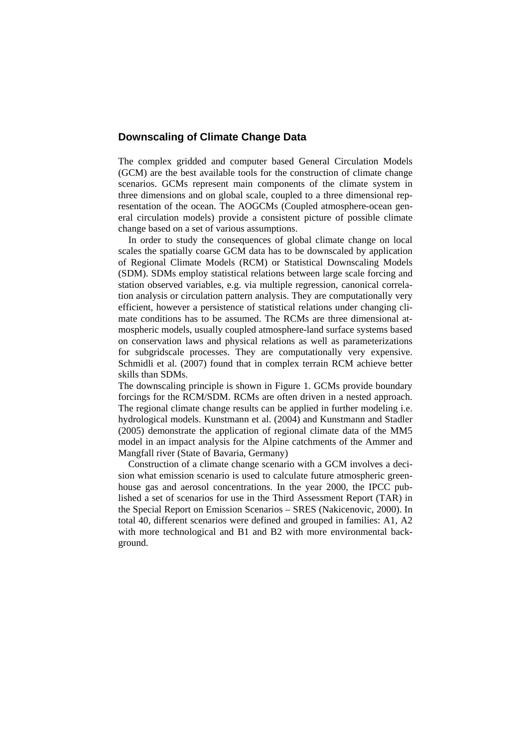# **Downscaling of Climate Change Data**

The complex gridded and computer based General Circulation Models (GCM) are the best available tools for the construction of climate change scenarios. GCMs represent main components of the climate system in three dimensions and on global scale, coupled to a three dimensional representation of the ocean. The AOGCMs (Coupled atmosphere-ocean general circulation models) provide a consistent picture of possible climate change based on a set of various assumptions.

In order to study the consequences of global climate change on local scales the spatially coarse GCM data has to be downscaled by application of Regional Climate Models (RCM) or Statistical Downscaling Models (SDM). SDMs employ statistical relations between large scale forcing and station observed variables, e.g. via multiple regression, canonical correlation analysis or circulation pattern analysis. They are computationally very efficient, however a persistence of statistical relations under changing climate conditions has to be assumed. The RCMs are three dimensional atmospheric models, usually coupled atmosphere-land surface systems based on conservation laws and physical relations as well as parameterizations for subgridscale processes. They are computationally very expensive. Schmidli et al. (2007) found that in complex terrain RCM achieve better skills than SDMs.

The downscaling principle is shown in Figure 1. GCMs provide boundary forcings for the RCM/SDM. RCMs are often driven in a nested approach. The regional climate change results can be applied in further modeling i.e. hydrological models. Kunstmann et al. (2004) and Kunstmann and Stadler (2005) demonstrate the application of regional climate data of the MM5 model in an impact analysis for the Alpine catchments of the Ammer and Mangfall river (State of Bavaria, Germany)

Construction of a climate change scenario with a GCM involves a decision what emission scenario is used to calculate future atmospheric greenhouse gas and aerosol concentrations. In the year 2000, the IPCC published a set of scenarios for use in the Third Assessment Report (TAR) in the Special Report on Emission Scenarios – SRES (Nakicenovic, 2000). In total 40, different scenarios were defined and grouped in families: A1, A2 with more technological and B1 and B2 with more environmental background.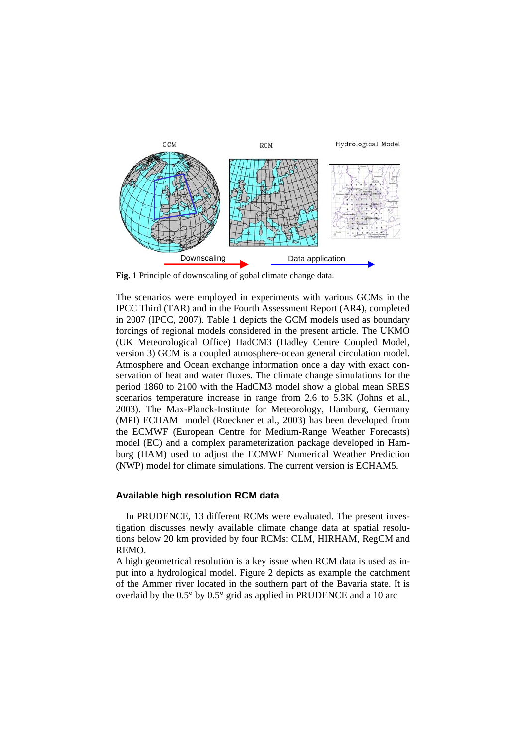

**Fig. 1** Principle of downscaling of gobal climate change data.

The scenarios were employed in experiments with various GCMs in the IPCC Third (TAR) and in the Fourth Assessment Report (AR4), completed in 2007 (IPCC, 2007). Table 1 depicts the GCM models used as boundary forcings of regional models considered in the present article. The UKMO (UK Meteorological Office) HadCM3 (Hadley Centre Coupled Model, version 3) GCM is a coupled atmosphere-ocean general circulation model. Atmosphere and Ocean exchange information once a day with exact conservation of heat and water fluxes. The climate change simulations for the period 1860 to 2100 with the HadCM3 model show a global mean SRES scenarios temperature increase in range from 2.6 to 5.3K (Johns et al., 2003). The Max-Planck-Institute for Meteorology, Hamburg, Germany (MPI) ECHAM model (Roeckner et al., 2003) has been developed from the ECMWF (European Centre for Medium-Range Weather Forecasts) model (EC) and a complex parameterization package developed in Hamburg (HAM) used to adjust the ECMWF Numerical Weather Prediction (NWP) model for climate simulations. The current version is ECHAM5.

### **Available high resolution RCM data**

In PRUDENCE, 13 different RCMs were evaluated. The present investigation discusses newly available climate change data at spatial resolutions below 20 km provided by four RCMs: CLM, HIRHAM, RegCM and REMO.

A high geometrical resolution is a key issue when RCM data is used as input into a hydrological model. Figure 2 depicts as example the catchment of the Ammer river located in the southern part of the Bavaria state. It is overlaid by the 0.5° by 0.5° grid as applied in PRUDENCE and a 10 arc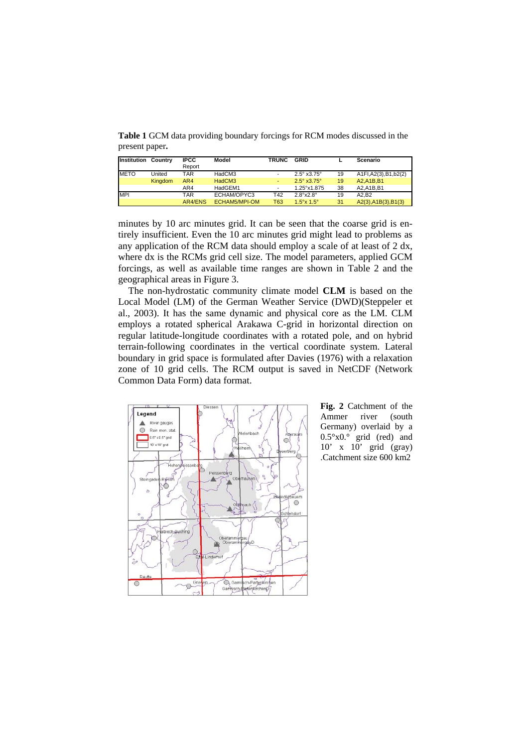**Table 1** GCM data providing boundary forcings for RCM modes discussed in the present paper**.**

| Institution | Country | <b>IPCC</b> | Model                | <b>TRUNC</b>             | GRID                           |    | Scenario               |
|-------------|---------|-------------|----------------------|--------------------------|--------------------------------|----|------------------------|
|             |         | Report      |                      |                          |                                |    |                        |
| <b>METO</b> | United  | TAR         | HadCM3               | $\overline{\phantom{a}}$ | $2.5^{\circ}$ x3.75 $^{\circ}$ | 19 | A1FI, A2(3), B1, b2(2) |
|             | Kingdom | AR4         | HadCM3               | ٠                        | $2.5^{\circ}$ x3.75 $^{\circ}$ | 19 | A2.A1B.B1              |
|             |         | AR4         | HadGEM1              | $\overline{\phantom{a}}$ | 1.25°x1.875                    | 38 | A2.A1B.B1              |
| <b>MPI</b>  |         | TAR         | ECHAM/OPYC3          | T42                      | $2.8^\circ \times 2.8^\circ$   | 19 | A2.B2                  |
|             |         | AR4/ENS     | <b>ECHAM5/MPI-OM</b> | T63                      | $1.5^{\circ}$ x $1.5^{\circ}$  | 31 | A2(3), A1B(3), B1(3)   |

minutes by 10 arc minutes grid. It can be seen that the coarse grid is entirely insufficient. Even the 10 arc minutes grid might lead to problems as any application of the RCM data should employ a scale of at least of 2 dx, where dx is the RCMs grid cell size. The model parameters, applied GCM forcings, as well as available time ranges are shown in Table 2 and the geographical areas in Figure 3.

The non-hydrostatic community climate model **CLM** is based on the Local Model (LM) of the German Weather Service (DWD)(Steppeler et al., 2003). It has the same dynamic and physical core as the LM. CLM employs a rotated spherical Arakawa C-grid in horizontal direction on regular latitude-longitude coordinates with a rotated pole, and on hybrid terrain-following coordinates in the vertical coordinate system. Lateral boundary in grid space is formulated after Davies (1976) with a relaxation zone of 10 grid cells. The RCM output is saved in NetCDF (Network Common Data Form) data format.



**Fig. 2** Catchment of the Ammer river (south Germany) overlaid by a 0.5°x0.° grid (red) and 10' x 10' grid (gray) .Catchment size 600 km2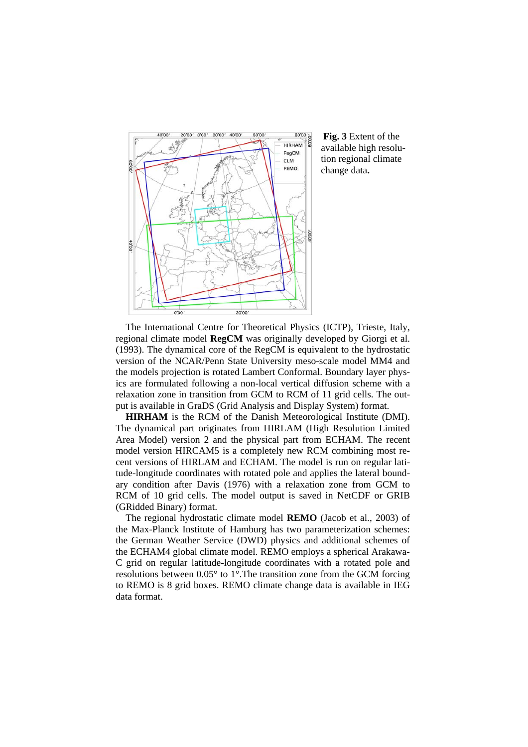

**Fig. 3** Extent of the available high resolution regional climate change data**.**

The International Centre for Theoretical Physics (ICTP), Trieste, Italy, regional climate model **RegCM** was originally developed by Giorgi et al. (1993). The dynamical core of the RegCM is equivalent to the hydrostatic version of the NCAR/Penn State University meso-scale model MM4 and the models projection is rotated Lambert Conformal. Boundary layer physics are formulated following a non-local vertical diffusion scheme with a relaxation zone in transition from GCM to RCM of 11 grid cells. The output is available in GraDS (Grid Analysis and Display System) format.

**HIRHAM** is the RCM of the Danish Meteorological Institute (DMI). The dynamical part originates from HIRLAM (High Resolution Limited Area Model) version 2 and the physical part from ECHAM. The recent model version HIRCAM5 is a completely new RCM combining most recent versions of HIRLAM and ECHAM. The model is run on regular latitude-longitude coordinates with rotated pole and applies the lateral boundary condition after Davis (1976) with a relaxation zone from GCM to RCM of 10 grid cells. The model output is saved in NetCDF or GRIB (GRidded Binary) format.

The regional hydrostatic climate model **REMO** (Jacob et al., 2003) of the Max-Planck Institute of Hamburg has two parameterization schemes: the German Weather Service (DWD) physics and additional schemes of the ECHAM4 global climate model. REMO employs a spherical Arakawa-C grid on regular latitude-longitude coordinates with a rotated pole and resolutions between 0.05° to 1°.The transition zone from the GCM forcing to REMO is 8 grid boxes. REMO climate change data is available in IEG data format.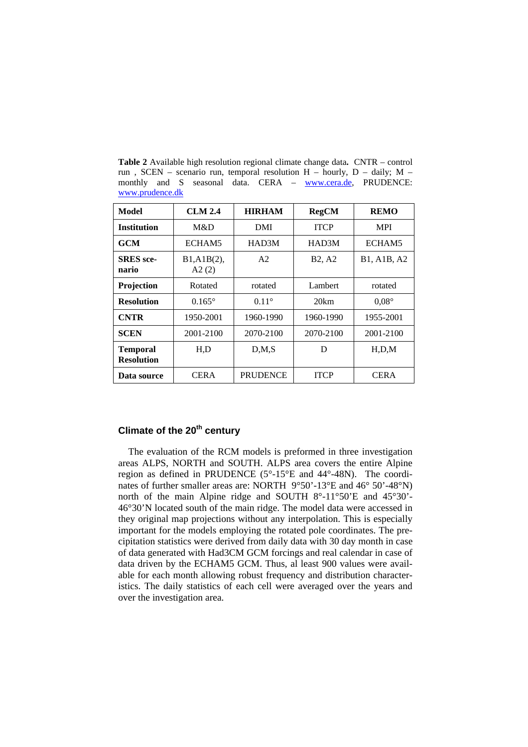| Model                                | <b>CLM 2.4</b>       | <b>HIRHAM</b>       | <b>RegCM</b> | <b>REMO</b>  |
|--------------------------------------|----------------------|---------------------|--------------|--------------|
| <b>Institution</b>                   | M&D                  | DMI                 | <b>ITCP</b>  | <b>MPI</b>   |
| <b>GCM</b>                           | ECHAM5               | HAD3M               | HAD3M        | ECHAM5       |
| <b>SRES</b> sce-<br>nario            | B1, A1B(2),<br>A2(2) | A2<br><b>B2, A2</b> |              | B1, A1B, A2  |
| Projection                           | Rotated              | rotated             | Lambert      | rotated      |
| <b>Resolution</b>                    | $0.165^{\circ}$      | $0.11^{\circ}$      | 20km         | $0.08^\circ$ |
| <b>CNTR</b>                          | 1950-2001            | 1960-1990           | 1960-1990    | 1955-2001    |
| <b>SCEN</b>                          | 2001-2100            | 2070-2100           | 2070-2100    | 2001-2100    |
| <b>Temporal</b><br><b>Resolution</b> | H,D                  | D, M, S             | D            | H.D.M        |
| Data source                          | <b>CERA</b>          | <b>PRUDENCE</b>     | <b>ITCP</b>  | <b>CERA</b>  |

**Table 2** Available high resolution regional climate change data**.** CNTR – control run , SCEN – scenario run, temporal resolution H – hourly, D – daily; M – monthly and S seasonal data. CERA – www.cera.de, PRUDENCE: www.prudence.dk

# **Climate of the 20<sup>th</sup> century**

The evaluation of the RCM models is preformed in three investigation areas ALPS, NORTH and SOUTH. ALPS area covers the entire Alpine region as defined in PRUDENCE (5°-15°E and 44°-48N). The coordinates of further smaller areas are: NORTH 9°50'-13°E and 46° 50'-48°N) north of the main Alpine ridge and SOUTH 8°-11°50'E and 45°30'- 46°30'N located south of the main ridge. The model data were accessed in they original map projections without any interpolation. This is especially important for the models employing the rotated pole coordinates. The precipitation statistics were derived from daily data with 30 day month in case of data generated with Had3CM GCM forcings and real calendar in case of data driven by the ECHAM5 GCM. Thus, al least 900 values were available for each month allowing robust frequency and distribution characteristics. The daily statistics of each cell were averaged over the years and over the investigation area.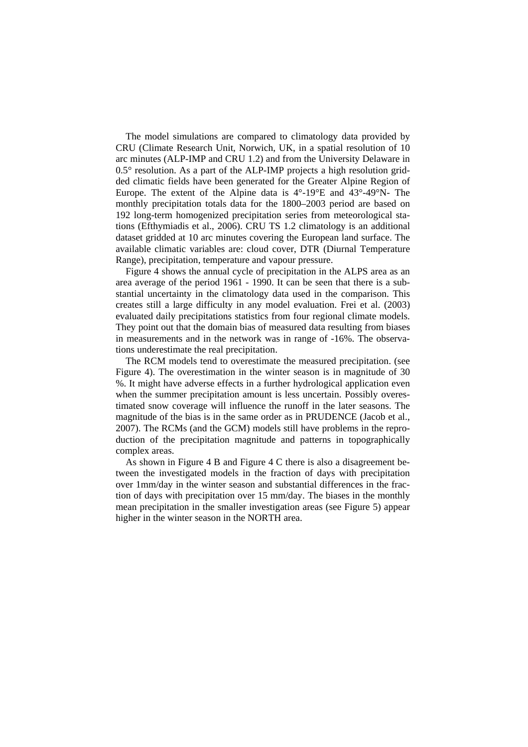The model simulations are compared to climatology data provided by CRU (Climate Research Unit, Norwich, UK, in a spatial resolution of 10 arc minutes (ALP-IMP and CRU 1.2) and from the University Delaware in  $0.5^\circ$  resolution. As a part of the ALP-IMP projects a high resolution gridded climatic fields have been generated for the Greater Alpine Region of Europe. The extent of the Alpine data is  $4^{\circ}$ -19 $^{\circ}$ E and  $43^{\circ}$ -49 $^{\circ}$ N- The monthly precipitation totals data for the 1800–2003 period are based on 192 long-term homogenized precipitation series from meteorological stations (Efthymiadis et al., 2006). CRU TS 1.2 climatology is an additional dataset gridded at 10 arc minutes covering the European land surface. The available climatic variables are: cloud cover, DTR (Diurnal Temperature Range), precipitation, temperature and vapour pressure.

Figure 4 shows the annual cycle of precipitation in the ALPS area as an area average of the period 1961 - 1990. It can be seen that there is a substantial uncertainty in the climatology data used in the comparison. This creates still a large difficulty in any model evaluation. Frei et al. (2003) evaluated daily precipitations statistics from four regional climate models. They point out that the domain bias of measured data resulting from biases in measurements and in the network was in range of -16%. The observations underestimate the real precipitation.

The RCM models tend to overestimate the measured precipitation. (see Figure 4). The overestimation in the winter season is in magnitude of 30 %. It might have adverse effects in a further hydrological application even when the summer precipitation amount is less uncertain. Possibly overestimated snow coverage will influence the runoff in the later seasons. The magnitude of the bias is in the same order as in PRUDENCE (Jacob et al., 2007). The RCMs (and the GCM) models still have problems in the reproduction of the precipitation magnitude and patterns in topographically complex areas.

As shown in Figure 4 B and Figure 4 C there is also a disagreement between the investigated models in the fraction of days with precipitation over 1mm/day in the winter season and substantial differences in the fraction of days with precipitation over 15 mm/day. The biases in the monthly mean precipitation in the smaller investigation areas (see Figure 5) appear higher in the winter season in the NORTH area.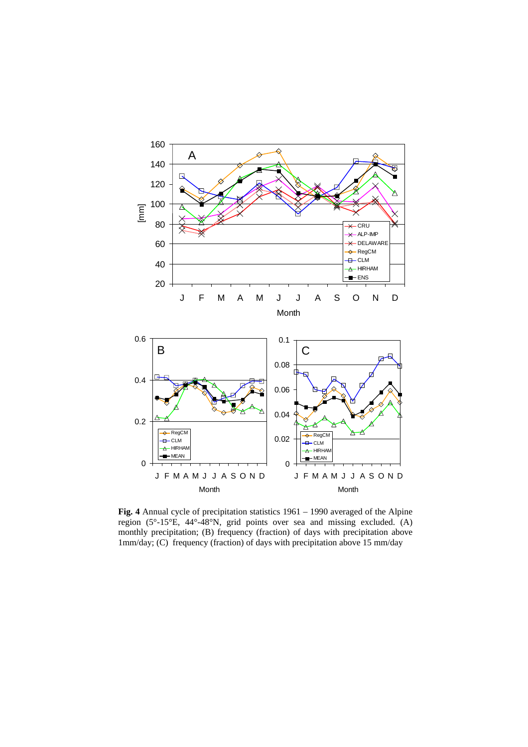

**Fig. 4** Annual cycle of precipitation statistics 1961 – 1990 averaged of the Alpine region (5°-15°E, 44°-48°N, grid points over sea and missing excluded. (A) monthly precipitation; (B) frequency (fraction) of days with precipitation above 1mm/day; (C) frequency (fraction) of days with precipitation above 15 mm/day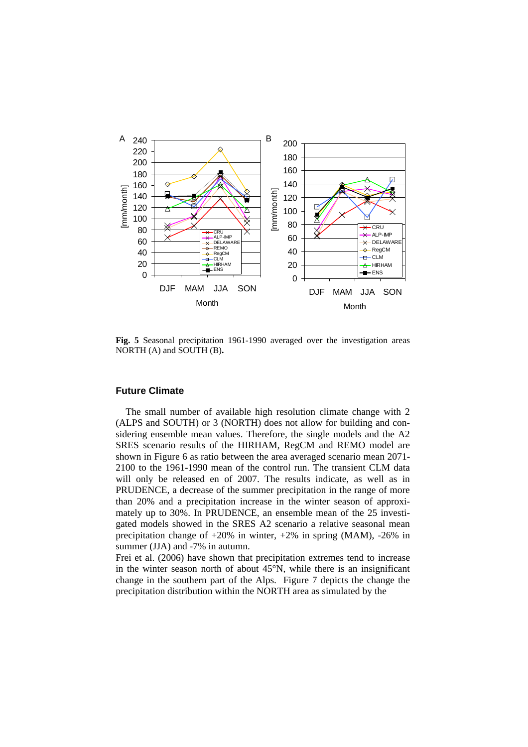

**Fig. 5** Seasonal precipitation 1961-1990 averaged over the investigation areas NORTH (A) and SOUTH (B)**.**

### **Future Climate**

The small number of available high resolution climate change with 2 (ALPS and SOUTH) or 3 (NORTH) does not allow for building and considering ensemble mean values. Therefore, the single models and the A2 SRES scenario results of the HIRHAM, RegCM and REMO model are shown in Figure 6 as ratio between the area averaged scenario mean 2071- 2100 to the 1961-1990 mean of the control run. The transient CLM data will only be released en of 2007. The results indicate, as well as in PRUDENCE, a decrease of the summer precipitation in the range of more than 20% and a precipitation increase in the winter season of approximately up to 30%. In PRUDENCE, an ensemble mean of the 25 investigated models showed in the SRES A2 scenario a relative seasonal mean precipitation change of +20% in winter, +2% in spring (MAM), -26% in summer (JJA) and -7% in autumn.

Frei et al. (2006) have shown that precipitation extremes tend to increase in the winter season north of about 45°N, while there is an insignificant change in the southern part of the Alps. Figure 7 depicts the change the precipitation distribution within the NORTH area as simulated by the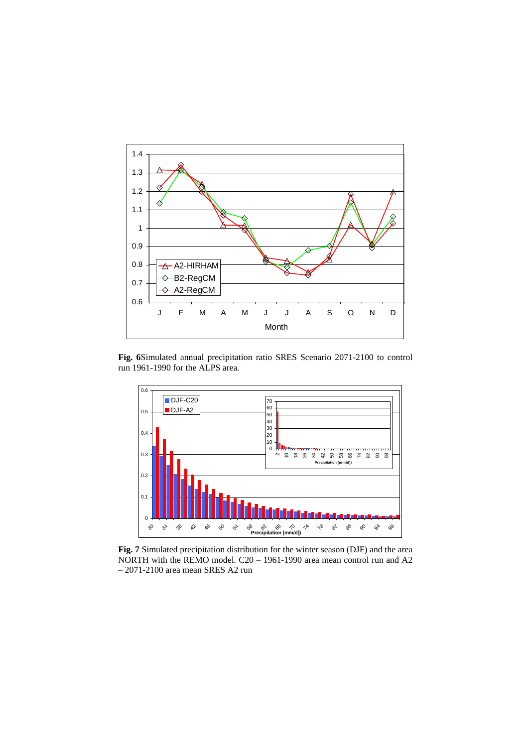

**Fig. 6**Simulated annual precipitation ratio SRES Scenario 2071-2100 to control run 1961-1990 for the ALPS area.



**Fig. 7** Simulated precipitation distribution for the winter season (DJF) and the area NORTH with the REMO model. C20 – 1961-1990 area mean control run and A2 – 2071-2100 area mean SRES A2 run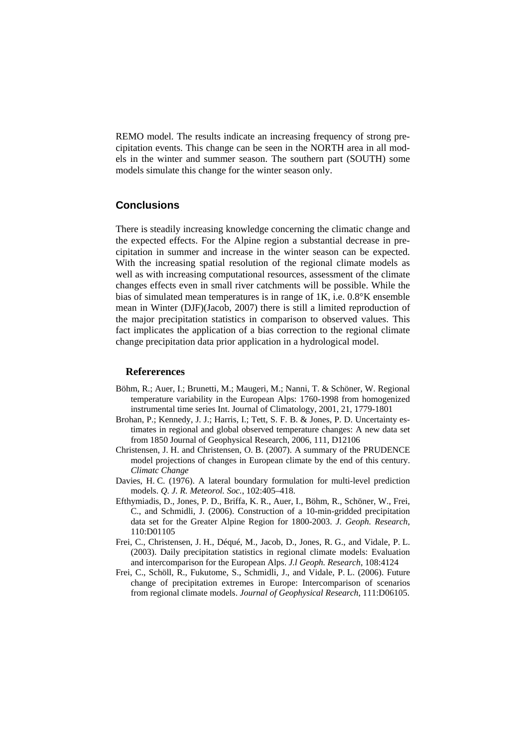REMO model. The results indicate an increasing frequency of strong precipitation events. This change can be seen in the NORTH area in all models in the winter and summer season. The southern part (SOUTH) some models simulate this change for the winter season only.

# **Conclusions**

There is steadily increasing knowledge concerning the climatic change and the expected effects. For the Alpine region a substantial decrease in precipitation in summer and increase in the winter season can be expected. With the increasing spatial resolution of the regional climate models as well as with increasing computational resources, assessment of the climate changes effects even in small river catchments will be possible. While the bias of simulated mean temperatures is in range of 1K, i.e. 0.8°K ensemble mean in Winter (DJF)(Jacob, 2007) there is still a limited reproduction of the major precipitation statistics in comparison to observed values. This fact implicates the application of a bias correction to the regional climate change precipitation data prior application in a hydrological model.

### **Refererences**

- Böhm, R.; Auer, I.; Brunetti, M.; Maugeri, M.; Nanni, T. & Schöner, W. Regional temperature variability in the European Alps: 1760-1998 from homogenized instrumental time series Int. Journal of Climatology, 2001, 21, 1779-1801
- Brohan, P.; Kennedy, J. J.; Harris, I.; Tett, S. F. B. & Jones, P. D. Uncertainty estimates in regional and global observed temperature changes: A new data set from 1850 Journal of Geophysical Research, 2006, 111, D12106
- Christensen, J. H. and Christensen, O. B. (2007). A summary of the PRUDENCE model projections of changes in European climate by the end of this century. *Climatc Change*
- Davies, H. C. (1976). A lateral boundary formulation for multi-level prediction models. *Q. J. R. Meteorol. Soc.*, 102:405–418.
- Efthymiadis, D., Jones, P. D., Briffa, K. R., Auer, I., Böhm, R., Schöner, W., Frei, C., and Schmidli, J. (2006). Construction of a 10-min-gridded precipitation data set for the Greater Alpine Region for 1800-2003. *J. Geoph. Research*, 110:D01105
- Frei, C., Christensen, J. H., Déqué, M., Jacob, D., Jones, R. G., and Vidale, P. L. (2003). Daily precipitation statistics in regional climate models: Evaluation and intercomparison for the European Alps. *J.l Geoph. Research*, 108:4124
- Frei, C., Schöll, R., Fukutome, S., Schmidli, J., and Vidale, P. L. (2006). Future change of precipitation extremes in Europe: Intercomparison of scenarios from regional climate models. *Journal of Geophysical Research*, 111:D06105.